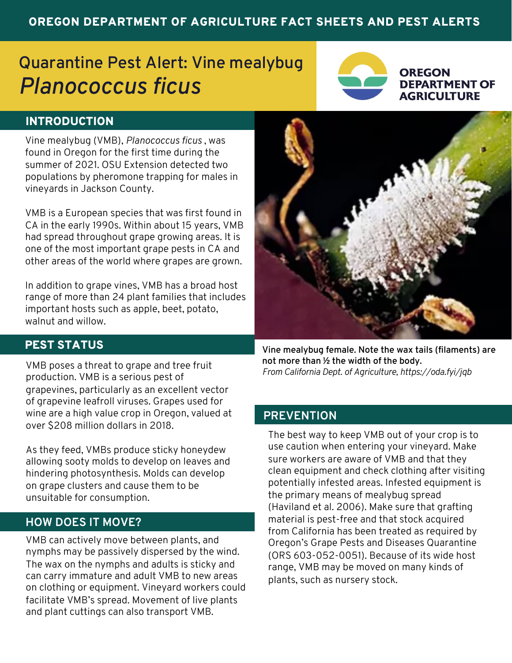# OREGON DEPARTMENT OF AGRICULTURE FACT SHEETS AND PEST ALERTS

# **Quarantine Pest Alert: Vine mealybug** *Planococcus ficus*



#### **OREGON DEPARTMENT OF AGRICULTURE**

# INTRODUCTION

Vine mealybug (VMB), *Planococcus ficus* , was found in Oregon for the first time during the summer of 2021. OSU Extension detected two populations by pheromone trapping for males in vineyards in Jackson County.

VMB is a European species that was first found in CA in the early 1990s. Within about 15 years, VMB had spread throughout grape growing areas. It is one of the most important grape pests in CA and other areas of the world where grapes are grown.

In addition to grape vines, VMB has a broad host range of more than 24 plant families that includes important hosts such as apple, beet, potato, walnut and willow.



## PEST STATUS

VMB poses a threat to grape and tree fruit production. VMB is a serious pest of grapevines, particularly as an excellent vector of grapevine leafroll viruses. Grapes used for wine are a high value crop in Oregon, valued at over \$208 million dollars in 2018.

As they feed, VMBs produce sticky honeydew allowing sooty molds to develop on leaves and hindering photosynthesis. Molds can develop on grape clusters and cause them to be unsuitable for consumption.

# **HOW DOES IT MOVE?**

VMB can actively move between plants, and nymphs may be passively dispersed by the wind. The wax on the nymphs and adults is sticky and can carry immature and adult VMB to new areas on clothing or equipment. Vineyard workers could facilitate VMB's spread. Movement of live plants and plant cuttings can also transport VMB.

**Vine mealybug female. Note the wax tails (filaments) are not more than ½ the width of the body.**  *From California Dept. of Agriculture, https://oda.fyi/jqb*

### **PREVENTION**

The best way to keep VMB out of your crop is to use caution when entering your vineyard. Make sure workers are aware of VMB and that they clean equipment and check clothing after visiting potentially infested areas. Infested equipment is the primary means of mealybug spread (Haviland et al. 2006). Make sure that grafting material is pest-free and that stock acquired from California has been treated as required by Oregon's Grape Pests and Diseases Quarantine (ORS 603-052-0051). Because of its wide host range, VMB may be moved on many kinds of plants, such as nursery stock.